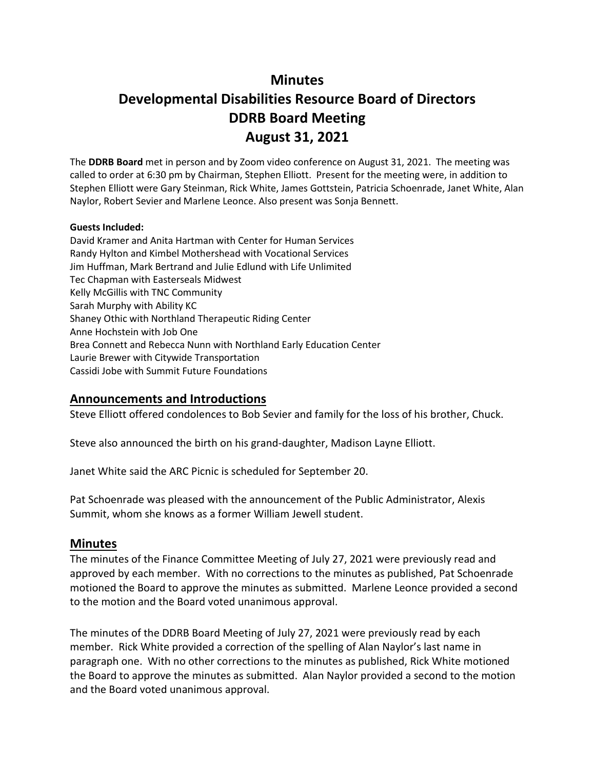# **Minutes**

# **Developmental Disabilities Resource Board of Directors DDRB Board Meeting August 31, 2021**

The **DDRB Board** met in person and by Zoom video conference on August 31, 2021. The meeting was called to order at 6:30 pm by Chairman, Stephen Elliott. Present for the meeting were, in addition to Stephen Elliott were Gary Steinman, Rick White, James Gottstein, Patricia Schoenrade, Janet White, Alan Naylor, Robert Sevier and Marlene Leonce. Also present was Sonja Bennett.

#### **Guests Included:**

David Kramer and Anita Hartman with Center for Human Services Randy Hylton and Kimbel Mothershead with Vocational Services Jim Huffman, Mark Bertrand and Julie Edlund with Life Unlimited Tec Chapman with Easterseals Midwest Kelly McGillis with TNC Community Sarah Murphy with Ability KC Shaney Othic with Northland Therapeutic Riding Center Anne Hochstein with Job One Brea Connett and Rebecca Nunn with Northland Early Education Center Laurie Brewer with Citywide Transportation Cassidi Jobe with Summit Future Foundations

### **Announcements and Introductions**

Steve Elliott offered condolences to Bob Sevier and family for the loss of his brother, Chuck.

Steve also announced the birth on his grand-daughter, Madison Layne Elliott.

Janet White said the ARC Picnic is scheduled for September 20.

Pat Schoenrade was pleased with the announcement of the Public Administrator, Alexis Summit, whom she knows as a former William Jewell student.

### **Minutes**

The minutes of the Finance Committee Meeting of July 27, 2021 were previously read and approved by each member. With no corrections to the minutes as published, Pat Schoenrade motioned the Board to approve the minutes as submitted. Marlene Leonce provided a second to the motion and the Board voted unanimous approval.

The minutes of the DDRB Board Meeting of July 27, 2021 were previously read by each member. Rick White provided a correction of the spelling of Alan Naylor's last name in paragraph one. With no other corrections to the minutes as published, Rick White motioned the Board to approve the minutes as submitted. Alan Naylor provided a second to the motion and the Board voted unanimous approval.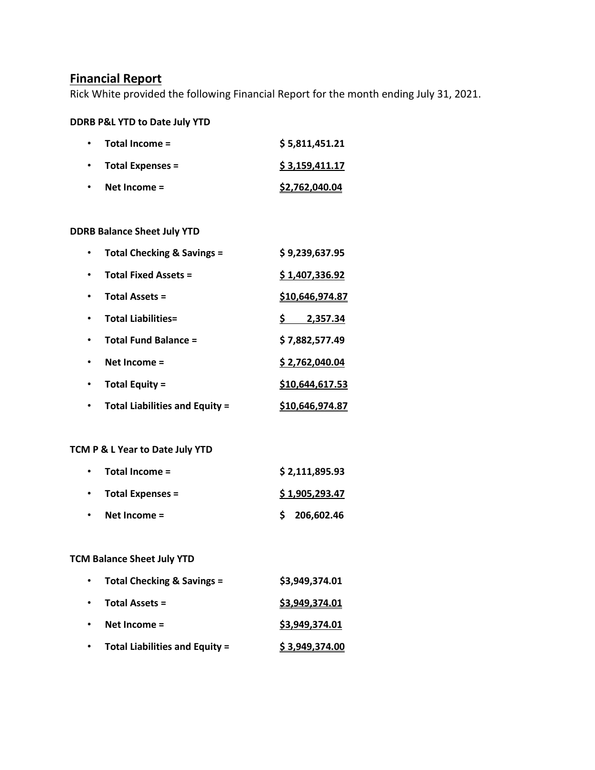# **Financial Report**

Rick White provided the following Financial Report for the month ending July 31, 2021.

#### **DDRB P&L YTD to Date July YTD**

| Total Income =          | \$5,811,451.21 |
|-------------------------|----------------|
| <b>Total Expenses =</b> | \$3,159,411.17 |
| Net Income $=$          | \$2,762,040.04 |

### **DDRB Balance Sheet July YTD**

| <b>Total Checking &amp; Savings =</b> | \$9,239,637.95  |
|---------------------------------------|-----------------|
| <b>Total Fixed Assets =</b>           | \$1,407,336.92  |
| <b>Total Assets =</b>                 | \$10,646,974.87 |
| <b>Total Liabilities=</b>             | 2.357.34        |
| <b>Total Fund Balance =</b>           | \$7,882,577.49  |
| Net Income $=$                        | \$2,762,040.04  |
| <b>Total Equity =</b>                 | \$10,644,617.53 |
| <b>Total Liabilities and Equity =</b> | \$10,646,974.87 |

# **TCM P & L Year to Date July YTD**

| $\bullet$ | Total Income =          | \$2,111,895.93 |
|-----------|-------------------------|----------------|
| $\bullet$ | <b>Total Expenses =</b> | \$1,905,293.47 |
| $\bullet$ | Net Income $=$          | \$206,602.46   |

### **TCM Balance Sheet July YTD**

| $\bullet$ | Total Checking & Savings =            | \$3,949,374.01 |
|-----------|---------------------------------------|----------------|
| $\bullet$ | <b>Total Assets =</b>                 | \$3,949,374.01 |
| $\bullet$ | Net Income $=$                        | \$3,949,374.01 |
|           | <b>Total Liabilities and Equity =</b> | \$3,949,374.00 |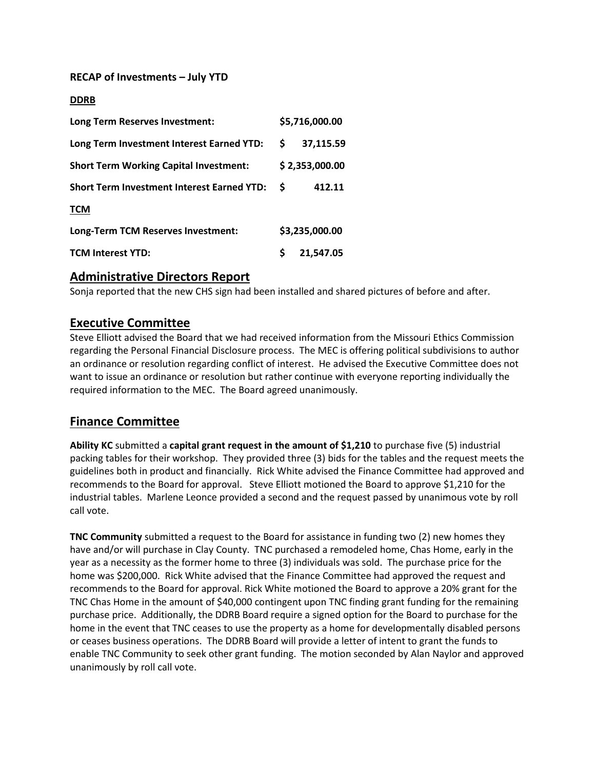### **RECAP of Investments – July YTD**

#### **DDRB**

| Long Term Reserves Investment:                    |    | \$5,716,000.00 |  |  |
|---------------------------------------------------|----|----------------|--|--|
| Long Term Investment Interest Earned YTD:         | S. | 37,115.59      |  |  |
| <b>Short Term Working Capital Investment:</b>     |    | \$2,353,000.00 |  |  |
| <b>Short Term Investment Interest Earned YTD:</b> |    | 412.11         |  |  |
| <b>TCM</b>                                        |    |                |  |  |
| Long-Term TCM Reserves Investment:                |    | \$3,235,000.00 |  |  |
| <b>TCM Interest YTD:</b>                          | Ś  | 21,547.05      |  |  |

### **Administrative Directors Report**

Sonja reported that the new CHS sign had been installed and shared pictures of before and after.

### **Executive Committee**

Steve Elliott advised the Board that we had received information from the Missouri Ethics Commission regarding the Personal Financial Disclosure process. The MEC is offering political subdivisions to author an ordinance or resolution regarding conflict of interest. He advised the Executive Committee does not want to issue an ordinance or resolution but rather continue with everyone reporting individually the required information to the MEC. The Board agreed unanimously.

### **Finance Committee**

**Ability KC** submitted a **capital grant request in the amount of \$1,210** to purchase five (5) industrial packing tables for their workshop. They provided three (3) bids for the tables and the request meets the guidelines both in product and financially. Rick White advised the Finance Committee had approved and recommends to the Board for approval. Steve Elliott motioned the Board to approve \$1,210 for the industrial tables. Marlene Leonce provided a second and the request passed by unanimous vote by roll call vote.

**TNC Community** submitted a request to the Board for assistance in funding two (2) new homes they have and/or will purchase in Clay County. TNC purchased a remodeled home, Chas Home, early in the year as a necessity as the former home to three (3) individuals was sold. The purchase price for the home was \$200,000. Rick White advised that the Finance Committee had approved the request and recommends to the Board for approval. Rick White motioned the Board to approve a 20% grant for the TNC Chas Home in the amount of \$40,000 contingent upon TNC finding grant funding for the remaining purchase price. Additionally, the DDRB Board require a signed option for the Board to purchase for the home in the event that TNC ceases to use the property as a home for developmentally disabled persons or ceases business operations. The DDRB Board will provide a letter of intent to grant the funds to enable TNC Community to seek other grant funding. The motion seconded by Alan Naylor and approved unanimously by roll call vote.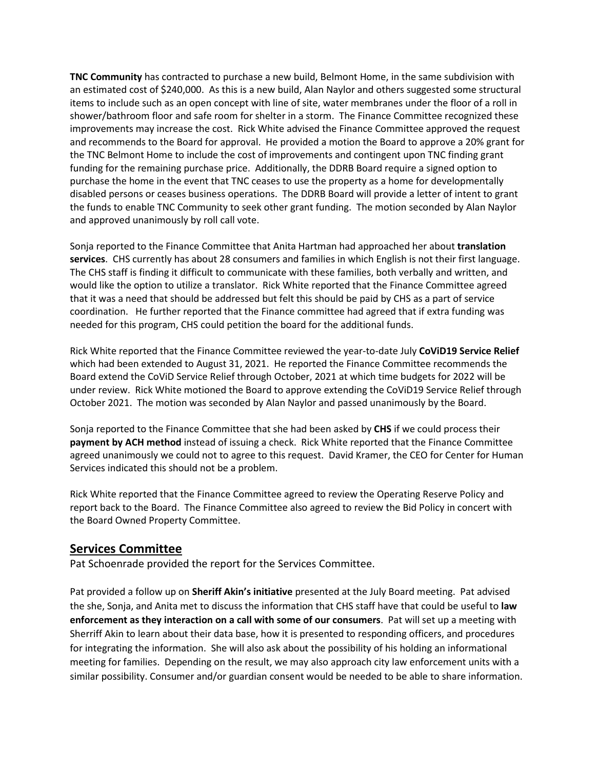**TNC Community** has contracted to purchase a new build, Belmont Home, in the same subdivision with an estimated cost of \$240,000. As this is a new build, Alan Naylor and others suggested some structural items to include such as an open concept with line of site, water membranes under the floor of a roll in shower/bathroom floor and safe room for shelter in a storm. The Finance Committee recognized these improvements may increase the cost. Rick White advised the Finance Committee approved the request and recommends to the Board for approval. He provided a motion the Board to approve a 20% grant for the TNC Belmont Home to include the cost of improvements and contingent upon TNC finding grant funding for the remaining purchase price. Additionally, the DDRB Board require a signed option to purchase the home in the event that TNC ceases to use the property as a home for developmentally disabled persons or ceases business operations. The DDRB Board will provide a letter of intent to grant the funds to enable TNC Community to seek other grant funding. The motion seconded by Alan Naylor and approved unanimously by roll call vote.

Sonja reported to the Finance Committee that Anita Hartman had approached her about **translation services**. CHS currently has about 28 consumers and families in which English is not their first language. The CHS staff is finding it difficult to communicate with these families, both verbally and written, and would like the option to utilize a translator. Rick White reported that the Finance Committee agreed that it was a need that should be addressed but felt this should be paid by CHS as a part of service coordination. He further reported that the Finance committee had agreed that if extra funding was needed for this program, CHS could petition the board for the additional funds.

Rick White reported that the Finance Committee reviewed the year-to-date July **CoViD19 Service Relief**  which had been extended to August 31, 2021. He reported the Finance Committee recommends the Board extend the CoViD Service Relief through October, 2021 at which time budgets for 2022 will be under review. Rick White motioned the Board to approve extending the CoViD19 Service Relief through October 2021. The motion was seconded by Alan Naylor and passed unanimously by the Board.

Sonja reported to the Finance Committee that she had been asked by **CHS** if we could process their **payment by ACH method** instead of issuing a check. Rick White reported that the Finance Committee agreed unanimously we could not to agree to this request. David Kramer, the CEO for Center for Human Services indicated this should not be a problem.

Rick White reported that the Finance Committee agreed to review the Operating Reserve Policy and report back to the Board. The Finance Committee also agreed to review the Bid Policy in concert with the Board Owned Property Committee.

### **Services Committee**

Pat Schoenrade provided the report for the Services Committee.

Pat provided a follow up on **Sheriff Akin's initiative** presented at the July Board meeting. Pat advised the she, Sonja, and Anita met to discuss the information that CHS staff have that could be useful to **law enforcement as they interaction on a call with some of our consumers**. Pat will set up a meeting with Sherriff Akin to learn about their data base, how it is presented to responding officers, and procedures for integrating the information. She will also ask about the possibility of his holding an informational meeting for families. Depending on the result, we may also approach city law enforcement units with a similar possibility. Consumer and/or guardian consent would be needed to be able to share information.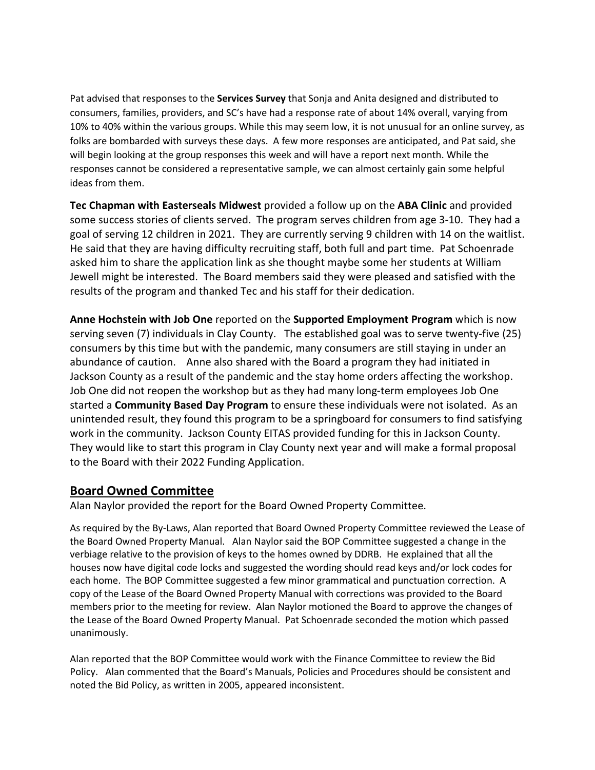Pat advised that responses to the **Services Survey** that Sonja and Anita designed and distributed to consumers, families, providers, and SC's have had a response rate of about 14% overall, varying from 10% to 40% within the various groups. While this may seem low, it is not unusual for an online survey, as folks are bombarded with surveys these days. A few more responses are anticipated, and Pat said, she will begin looking at the group responses this week and will have a report next month. While the responses cannot be considered a representative sample, we can almost certainly gain some helpful ideas from them.

**Tec Chapman with Easterseals Midwest** provided a follow up on the **ABA Clinic** and provided some success stories of clients served. The program serves children from age 3-10. They had a goal of serving 12 children in 2021. They are currently serving 9 children with 14 on the waitlist. He said that they are having difficulty recruiting staff, both full and part time. Pat Schoenrade asked him to share the application link as she thought maybe some her students at William Jewell might be interested. The Board members said they were pleased and satisfied with the results of the program and thanked Tec and his staff for their dedication.

**Anne Hochstein with Job One** reported on the **Supported Employment Program** which is now serving seven (7) individuals in Clay County. The established goal was to serve twenty-five (25) consumers by this time but with the pandemic, many consumers are still staying in under an abundance of caution. Anne also shared with the Board a program they had initiated in Jackson County as a result of the pandemic and the stay home orders affecting the workshop. Job One did not reopen the workshop but as they had many long-term employees Job One started a **Community Based Day Program** to ensure these individuals were not isolated. As an unintended result, they found this program to be a springboard for consumers to find satisfying work in the community. Jackson County EITAS provided funding for this in Jackson County. They would like to start this program in Clay County next year and will make a formal proposal to the Board with their 2022 Funding Application.

# **Board Owned Committee**

Alan Naylor provided the report for the Board Owned Property Committee.

As required by the By-Laws, Alan reported that Board Owned Property Committee reviewed the Lease of the Board Owned Property Manual. Alan Naylor said the BOP Committee suggested a change in the verbiage relative to the provision of keys to the homes owned by DDRB. He explained that all the houses now have digital code locks and suggested the wording should read keys and/or lock codes for each home. The BOP Committee suggested a few minor grammatical and punctuation correction. A copy of the Lease of the Board Owned Property Manual with corrections was provided to the Board members prior to the meeting for review. Alan Naylor motioned the Board to approve the changes of the Lease of the Board Owned Property Manual. Pat Schoenrade seconded the motion which passed unanimously.

Alan reported that the BOP Committee would work with the Finance Committee to review the Bid Policy. Alan commented that the Board's Manuals, Policies and Procedures should be consistent and noted the Bid Policy, as written in 2005, appeared inconsistent.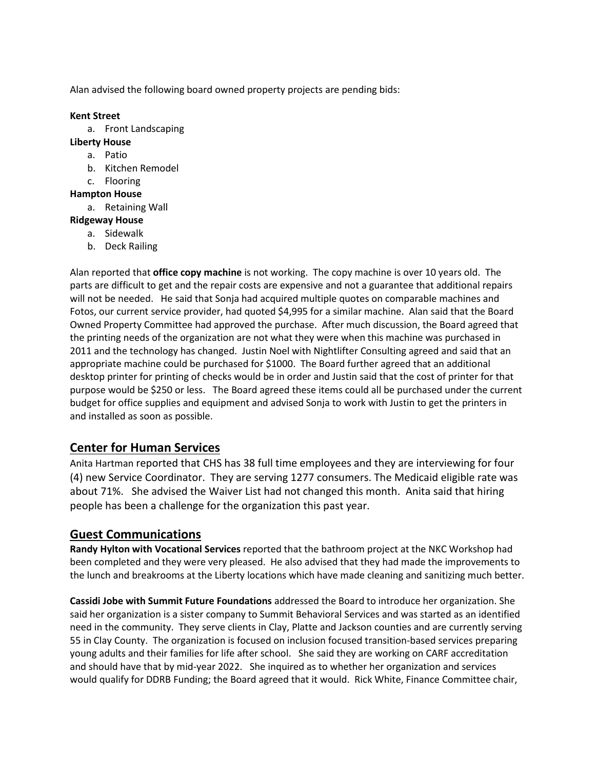Alan advised the following board owned property projects are pending bids:

#### **Kent Street**

- a. Front Landscaping
- **Liberty House**
	- a. Patio
	- b. Kitchen Remodel
	- c. Flooring

#### **Hampton House**

- a. Retaining Wall
- **Ridgeway House**
	- a. Sidewalk
	- b. Deck Railing

Alan reported that **office copy machine** is not working. The copy machine is over 10 years old. The parts are difficult to get and the repair costs are expensive and not a guarantee that additional repairs will not be needed. He said that Sonja had acquired multiple quotes on comparable machines and Fotos, our current service provider, had quoted \$4,995 for a similar machine. Alan said that the Board Owned Property Committee had approved the purchase. After much discussion, the Board agreed that the printing needs of the organization are not what they were when this machine was purchased in 2011 and the technology has changed. Justin Noel with Nightlifter Consulting agreed and said that an appropriate machine could be purchased for \$1000. The Board further agreed that an additional desktop printer for printing of checks would be in order and Justin said that the cost of printer for that purpose would be \$250 or less. The Board agreed these items could all be purchased under the current budget for office supplies and equipment and advised Sonja to work with Justin to get the printers in and installed as soon as possible.

# **Center for Human Services**

Anita Hartman reported that CHS has 38 full time employees and they are interviewing for four (4) new Service Coordinator. They are serving 1277 consumers. The Medicaid eligible rate was about 71%. She advised the Waiver List had not changed this month. Anita said that hiring people has been a challenge for the organization this past year.

# **Guest Communications**

**Randy Hylton with Vocational Services** reported that the bathroom project at the NKC Workshop had been completed and they were very pleased. He also advised that they had made the improvements to the lunch and breakrooms at the Liberty locations which have made cleaning and sanitizing much better.

**Cassidi Jobe with Summit Future Foundations** addressed the Board to introduce her organization. She said her organization is a sister company to Summit Behavioral Services and was started as an identified need in the community. They serve clients in Clay, Platte and Jackson counties and are currently serving 55 in Clay County. The organization is focused on inclusion focused transition-based services preparing young adults and their families for life after school. She said they are working on CARF accreditation and should have that by mid-year 2022. She inquired as to whether her organization and services would qualify for DDRB Funding; the Board agreed that it would. Rick White, Finance Committee chair,